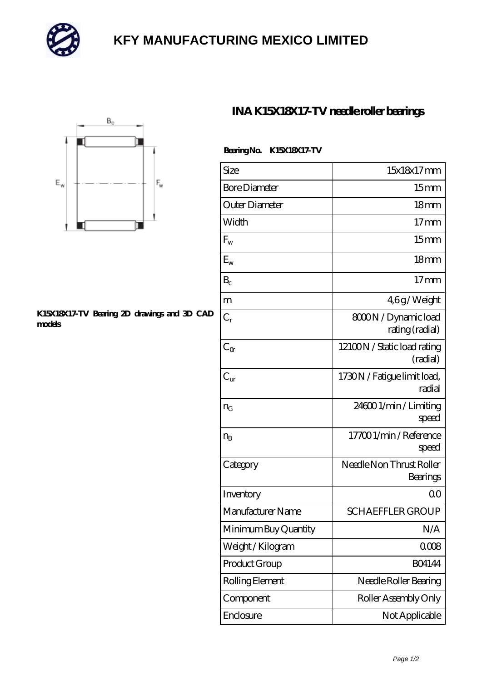

# **[KFY MANUFACTURING MEXICO LIMITED](https://m.mailemotion.tv)**



#### **[K15X18X17-TV Bearing 2D drawings and 3D CAD](https://m.mailemotion.tv/pic-414471.html) [models](https://m.mailemotion.tv/pic-414471.html)**

### **[INA K15X18X17-TV needle roller bearings](https://m.mailemotion.tv/az-414471-ina-k15x18x17-tv-needle-roller-bearings.html)**

| Size                 | 15x18x17mm                              |
|----------------------|-----------------------------------------|
| <b>Bore Diameter</b> | 15 <sub>mm</sub>                        |
| Outer Diameter       | 18 <sub>mm</sub>                        |
| Width                | 17 <sub>mm</sub>                        |
| $F_{w}$              | 15 <sub>mm</sub>                        |
| $E_{\rm w}$          | 18 <sub>mm</sub>                        |
| $B_c$                | $17 \text{mm}$                          |
| m                    | 46g/Weight                              |
| $C_r$                | 8000N / Dynamic load<br>rating (radial) |
| $C_{\alpha}$         | 12100N / Static load rating<br>(radial) |
| $C_{\rm ur}$         | 1730N / Fatigue limit load,<br>radial   |
| $n_{G}$              | 246001/min/Limiting<br>speed            |
| $n_{B}$              | 177001/min/Reference<br>speed           |
| Category             | Needle Non Thrust Roller<br>Bearings    |
| Inventory            | 0 <sup>0</sup>                          |
| Manufacturer Name    | <b>SCHAEFFLER GROUP</b>                 |
| Minimum Buy Quantity | N/A                                     |
| Weight / Kilogram    | 0008                                    |
| Product Group        | <b>BO4144</b>                           |
| Rolling Element      | Needle Roller Bearing                   |
| Component            | Roller Assembly Only                    |
| Enclosure            | Not Applicable                          |

### **Bearing No. K15X18X17-TV**